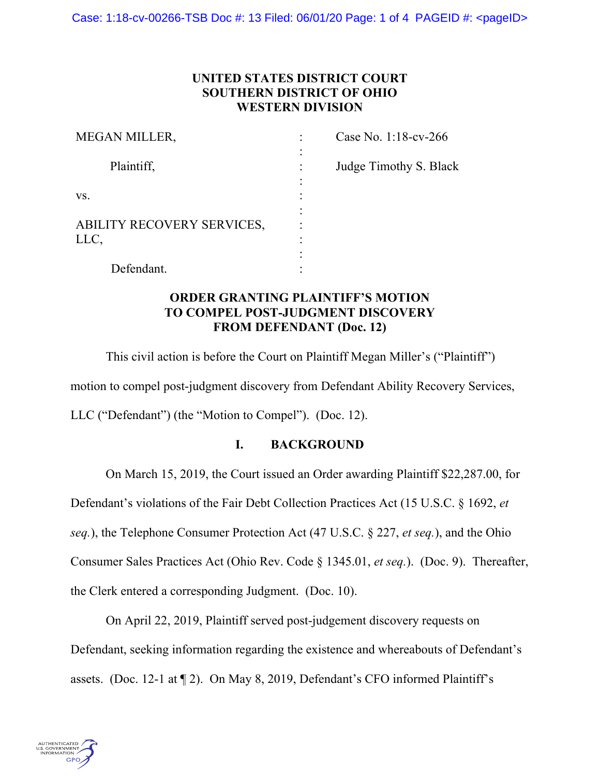# **UNITED STATES DISTRICT COURT SOUTHERN DISTRICT OF OHIO WESTERN DIVISION**

| <b>MEGAN MILLER,</b>       | Case No. 1:18-cv-266   |
|----------------------------|------------------------|
|                            |                        |
| Plaintiff,                 | Judge Timothy S. Black |
|                            |                        |
| VS.                        |                        |
|                            |                        |
| ABILITY RECOVERY SERVICES, |                        |
| LLC,                       |                        |
|                            |                        |
| Defendant.                 |                        |

# **ORDER GRANTING PLAINTIFF'S MOTION TO COMPEL POST-JUDGMENT DISCOVERY FROM DEFENDANT (Doc. 12)**

This civil action is before the Court on Plaintiff Megan Miller's ("Plaintiff") motion to compel post-judgment discovery from Defendant Ability Recovery Services, LLC ("Defendant") (the "Motion to Compel"). (Doc. 12).

# **I. BACKGROUND**

On March 15, 2019, the Court issued an Order awarding Plaintiff \$22,287.00, for

Defendant's violations of the Fair Debt Collection Practices Act (15 U.S.C. § 1692, *et* 

*seq.*), the Telephone Consumer Protection Act (47 U.S.C. § 227, *et seq.*), and the Ohio

Consumer Sales Practices Act (Ohio Rev. Code § 1345.01, *et seq.*). (Doc. 9). Thereafter,

the Clerk entered a corresponding Judgment. (Doc. 10).

On April 22, 2019, Plaintiff served post-judgement discovery requests on Defendant, seeking information regarding the existence and whereabouts of Defendant's assets. (Doc. 12-1 at ¶ 2). On May 8, 2019, Defendant's CFO informed Plaintiff's

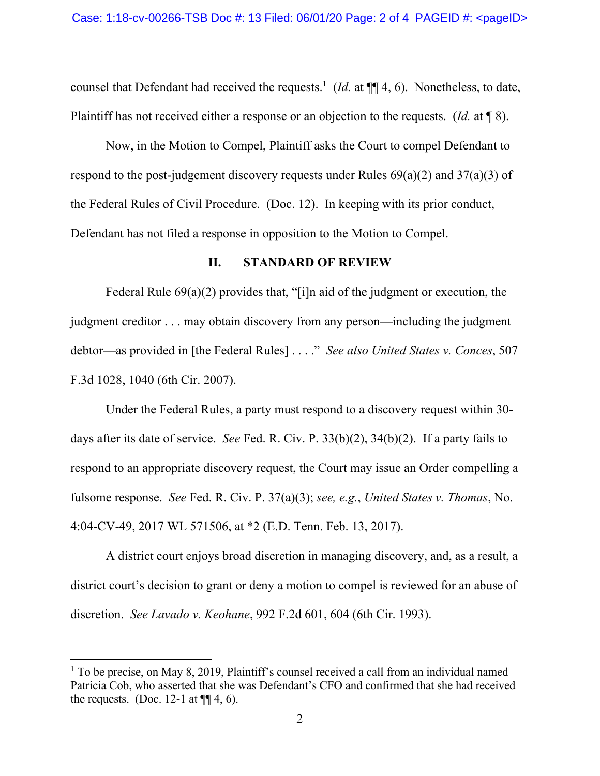counsel that Defendant had received the requests.<sup>1</sup> (*Id.* at  $\P\P$  4, 6). Nonetheless, to date, Plaintiff has not received either a response or an objection to the requests. (*Id.* at ¶ 8).

Now, in the Motion to Compel, Plaintiff asks the Court to compel Defendant to respond to the post-judgement discovery requests under Rules  $69(a)(2)$  and  $37(a)(3)$  of the Federal Rules of Civil Procedure. (Doc. 12). In keeping with its prior conduct, Defendant has not filed a response in opposition to the Motion to Compel.

### **II. STANDARD OF REVIEW**

Federal Rule 69(a)(2) provides that, "[i]n aid of the judgment or execution, the judgment creditor . . . may obtain discovery from any person—including the judgment debtor—as provided in [the Federal Rules] . . . ." *See also United States v. Conces*, 507 F.3d 1028, 1040 (6th Cir. 2007).

Under the Federal Rules, a party must respond to a discovery request within 30 days after its date of service. *See* Fed. R. Civ. P. 33(b)(2), 34(b)(2). If a party fails to respond to an appropriate discovery request, the Court may issue an Order compelling a fulsome response. *See* Fed. R. Civ. P. 37(a)(3); *see, e.g.*, *United States v. Thomas*, No. 4:04-CV-49, 2017 WL 571506, at \*2 (E.D. Tenn. Feb. 13, 2017).

A district court enjoys broad discretion in managing discovery, and, as a result, a district court's decision to grant or deny a motion to compel is reviewed for an abuse of discretion. *See Lavado v. Keohane*, 992 F.2d 601, 604 (6th Cir. 1993).

 $1$  To be precise, on May 8, 2019, Plaintiff's counsel received a call from an individual named Patricia Cob, who asserted that she was Defendant's CFO and confirmed that she had received the requests. (Doc. 12-1 at  $\P$ [4, 6).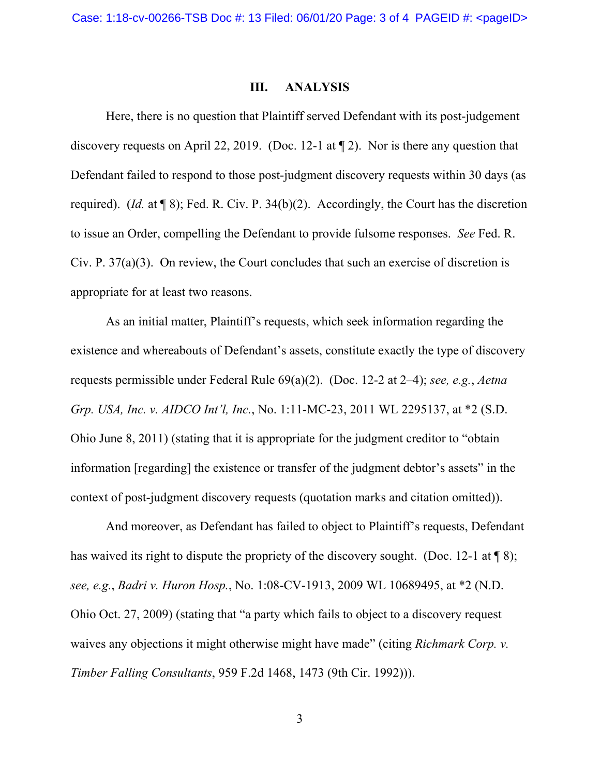## **III. ANALYSIS**

Here, there is no question that Plaintiff served Defendant with its post-judgement discovery requests on April 22, 2019. (Doc. 12-1 at ¶ 2). Nor is there any question that Defendant failed to respond to those post-judgment discovery requests within 30 days (as required). (*Id.* at ¶ 8); Fed. R. Civ. P. 34(b)(2). Accordingly, the Court has the discretion to issue an Order, compelling the Defendant to provide fulsome responses. *See* Fed. R. Civ. P. 37(a)(3). On review, the Court concludes that such an exercise of discretion is appropriate for at least two reasons.

As an initial matter, Plaintiff's requests, which seek information regarding the existence and whereabouts of Defendant's assets, constitute exactly the type of discovery requests permissible under Federal Rule 69(a)(2). (Doc. 12-2 at 2–4); *see, e.g.*, *Aetna Grp. USA, Inc. v. AIDCO Int'l, Inc.*, No. 1:11-MC-23, 2011 WL 2295137, at \*2 (S.D. Ohio June 8, 2011) (stating that it is appropriate for the judgment creditor to "obtain information [regarding] the existence or transfer of the judgment debtor's assets" in the context of post-judgment discovery requests (quotation marks and citation omitted)).

And moreover, as Defendant has failed to object to Plaintiff's requests, Defendant has waived its right to dispute the propriety of the discovery sought. (Doc. 12-1 at  $\P$ 8); *see, e.g.*, *Badri v. Huron Hosp.*, No. 1:08-CV-1913, 2009 WL 10689495, at \*2 (N.D. Ohio Oct. 27, 2009) (stating that "a party which fails to object to a discovery request waives any objections it might otherwise might have made" (citing *Richmark Corp. v. Timber Falling Consultants*, 959 F.2d 1468, 1473 (9th Cir. 1992))).